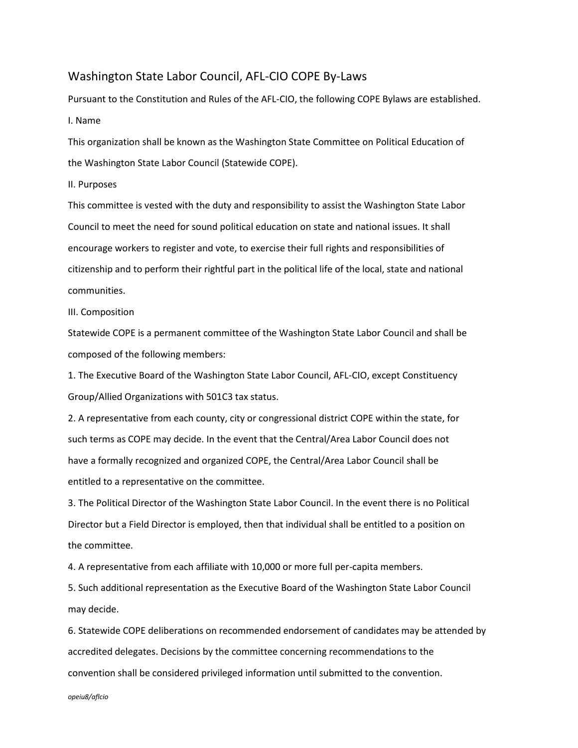## Washington State Labor Council, AFL-CIO COPE By-Laws

Pursuant to the Constitution and Rules of the AFL-CIO, the following COPE Bylaws are established. I. Name

This organization shall be known as the Washington State Committee on Political Education of the Washington State Labor Council (Statewide COPE).

II. Purposes

This committee is vested with the duty and responsibility to assist the Washington State Labor Council to meet the need for sound political education on state and national issues. It shall encourage workers to register and vote, to exercise their full rights and responsibilities of citizenship and to perform their rightful part in the political life of the local, state and national communities.

III. Composition

Statewide COPE is a permanent committee of the Washington State Labor Council and shall be composed of the following members:

1. The Executive Board of the Washington State Labor Council, AFL-CIO, except Constituency Group/Allied Organizations with 501C3 tax status.

2. A representative from each county, city or congressional district COPE within the state, for such terms as COPE may decide. In the event that the Central/Area Labor Council does not have a formally recognized and organized COPE, the Central/Area Labor Council shall be entitled to a representative on the committee.

3. The Political Director of the Washington State Labor Council. In the event there is no Political Director but a Field Director is employed, then that individual shall be entitled to a position on the committee.

4. A representative from each affiliate with 10,000 or more full per-capita members.

5. Such additional representation as the Executive Board of the Washington State Labor Council may decide.

6. Statewide COPE deliberations on recommended endorsement of candidates may be attended by accredited delegates. Decisions by the committee concerning recommendations to the convention shall be considered privileged information until submitted to the convention.

*opeiu8/aflcio*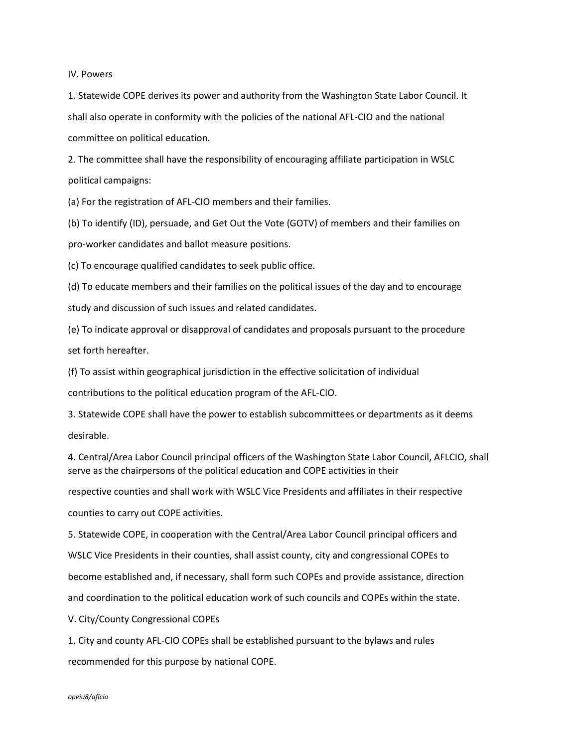IV. Powers

1. Statewide COPE derives its power and authority from the Washington State Labor Council. It shall also operate in conformity with the policies of the national AFL-CIO and the national committee on political education.

2. The committee shall have the responsibility of encouraging affiliate participation in WSLC political campaigns:

(a) For the registration of AFL-CIO members and their families.

(b) To identify (ID), persuade, and Get Out the Vote (GOTV) of members and their families on pro-worker candidates and ballot measure positions.

(c) To encourage qualified candidates to seek public office.

(d) To educate members and their families on the political issues of the day and to encourage study and discussion of such issues and related candidates.

(e) To indicate approval or disapproval of candidates and proposals pursuant to the procedure set forth hereafter.

(f) To assist within geographical jurisdiction in the effective solicitation of individual

contributions to the political education program of the AFL-CIO.

3. Statewide COPE shall have the power to establish subcommittees or departments as it deems desirable.

4. Central/Area Labor Council principal officers of the Washington State Labor Council, AFLCIO, shall serve as the chairpersons of the political education and COPE activities in their

respective counties and shall work with WSLC Vice Presidents and affiliates in their respective counties to carry out COPE activities.

5. Statewide COPE, in cooperation with the Central/Area Labor Council principal officers and WSLC Vice Presidents in their counties, shall assist county, city and congressional COPEs to become established and, if necessary, shall form such COPEs and provide assistance, direction and coordination to the political education work of such councils and COPEs within the state.

V. City/County Congressional COPEs

1. City and county AFL-CIO COPEs shall be established pursuant to the bylaws and rules recommended for this purpose by national COPE.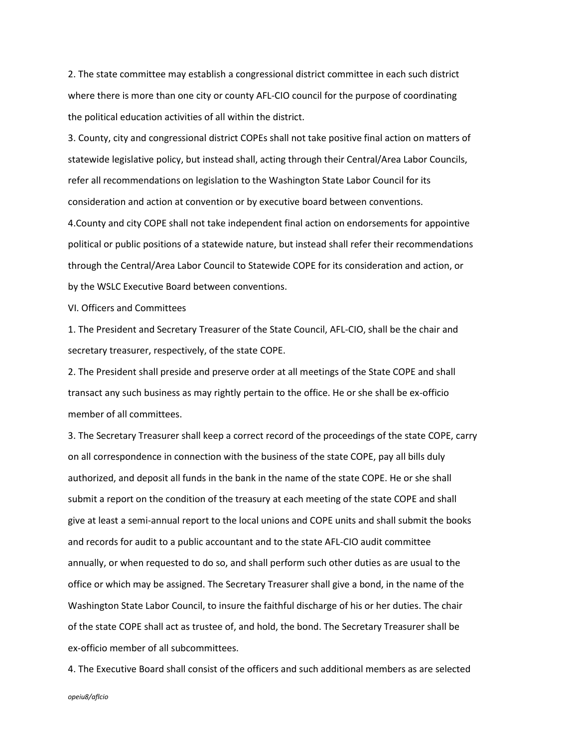2. The state committee may establish a congressional district committee in each such district where there is more than one city or county AFL-CIO council for the purpose of coordinating the political education activities of all within the district.

3. County, city and congressional district COPEs shall not take positive final action on matters of statewide legislative policy, but instead shall, acting through their Central/Area Labor Councils, refer all recommendations on legislation to the Washington State Labor Council for its consideration and action at convention or by executive board between conventions.

4.County and city COPE shall not take independent final action on endorsements for appointive political or public positions of a statewide nature, but instead shall refer their recommendations through the Central/Area Labor Council to Statewide COPE for its consideration and action, or by the WSLC Executive Board between conventions.

VI. Officers and Committees

1. The President and Secretary Treasurer of the State Council, AFL-CIO, shall be the chair and secretary treasurer, respectively, of the state COPE.

2. The President shall preside and preserve order at all meetings of the State COPE and shall transact any such business as may rightly pertain to the office. He or she shall be ex-officio member of all committees.

3. The Secretary Treasurer shall keep a correct record of the proceedings of the state COPE, carry on all correspondence in connection with the business of the state COPE, pay all bills duly authorized, and deposit all funds in the bank in the name of the state COPE. He or she shall submit a report on the condition of the treasury at each meeting of the state COPE and shall give at least a semi-annual report to the local unions and COPE units and shall submit the books and records for audit to a public accountant and to the state AFL-CIO audit committee annually, or when requested to do so, and shall perform such other duties as are usual to the office or which may be assigned. The Secretary Treasurer shall give a bond, in the name of the Washington State Labor Council, to insure the faithful discharge of his or her duties. The chair of the state COPE shall act as trustee of, and hold, the bond. The Secretary Treasurer shall be ex-officio member of all subcommittees.

4. The Executive Board shall consist of the officers and such additional members as are selected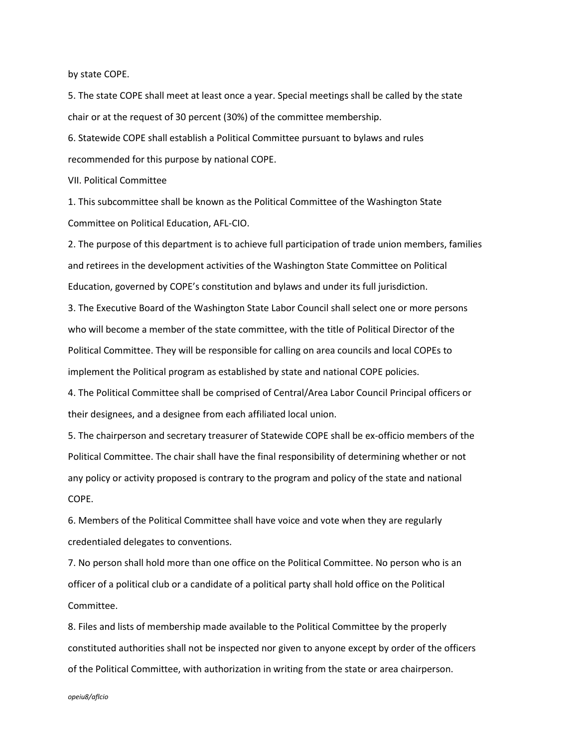by state COPE.

5. The state COPE shall meet at least once a year. Special meetings shall be called by the state chair or at the request of 30 percent (30%) of the committee membership.

6. Statewide COPE shall establish a Political Committee pursuant to bylaws and rules recommended for this purpose by national COPE.

VII. Political Committee

1. This subcommittee shall be known as the Political Committee of the Washington State Committee on Political Education, AFL-CIO.

2. The purpose of this department is to achieve full participation of trade union members, families and retirees in the development activities of the Washington State Committee on Political Education, governed by COPE's constitution and bylaws and under its full jurisdiction.

3. The Executive Board of the Washington State Labor Council shall select one or more persons who will become a member of the state committee, with the title of Political Director of the Political Committee. They will be responsible for calling on area councils and local COPEs to implement the Political program as established by state and national COPE policies.

4. The Political Committee shall be comprised of Central/Area Labor Council Principal officers or their designees, and a designee from each affiliated local union.

5. The chairperson and secretary treasurer of Statewide COPE shall be ex-officio members of the Political Committee. The chair shall have the final responsibility of determining whether or not any policy or activity proposed is contrary to the program and policy of the state and national COPE.

6. Members of the Political Committee shall have voice and vote when they are regularly credentialed delegates to conventions.

7. No person shall hold more than one office on the Political Committee. No person who is an officer of a political club or a candidate of a political party shall hold office on the Political Committee.

8. Files and lists of membership made available to the Political Committee by the properly constituted authorities shall not be inspected nor given to anyone except by order of the officers of the Political Committee, with authorization in writing from the state or area chairperson.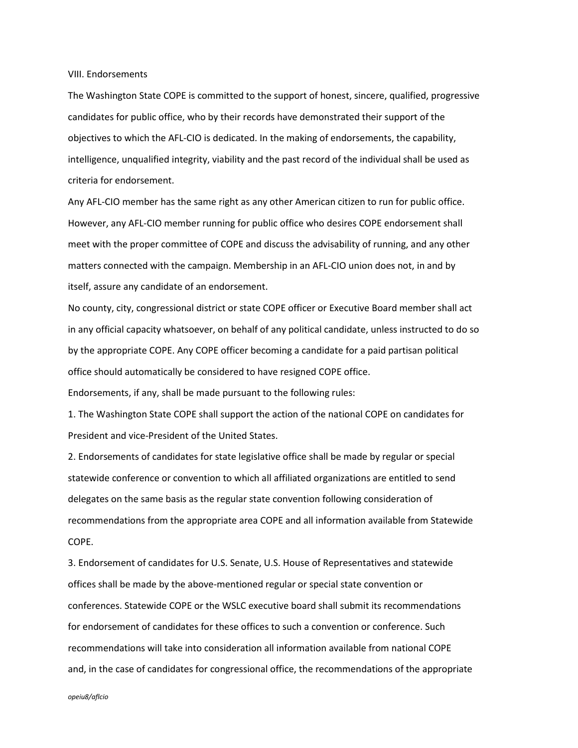VIII. Endorsements

The Washington State COPE is committed to the support of honest, sincere, qualified, progressive candidates for public office, who by their records have demonstrated their support of the objectives to which the AFL-CIO is dedicated. In the making of endorsements, the capability, intelligence, unqualified integrity, viability and the past record of the individual shall be used as criteria for endorsement.

Any AFL-CIO member has the same right as any other American citizen to run for public office. However, any AFL-CIO member running for public office who desires COPE endorsement shall meet with the proper committee of COPE and discuss the advisability of running, and any other matters connected with the campaign. Membership in an AFL-CIO union does not, in and by itself, assure any candidate of an endorsement.

No county, city, congressional district or state COPE officer or Executive Board member shall act in any official capacity whatsoever, on behalf of any political candidate, unless instructed to do so by the appropriate COPE. Any COPE officer becoming a candidate for a paid partisan political office should automatically be considered to have resigned COPE office. Endorsements, if any, shall be made pursuant to the following rules:

1. The Washington State COPE shall support the action of the national COPE on candidates for President and vice-President of the United States.

2. Endorsements of candidates for state legislative office shall be made by regular or special statewide conference or convention to which all affiliated organizations are entitled to send delegates on the same basis as the regular state convention following consideration of recommendations from the appropriate area COPE and all information available from Statewide COPE.

3. Endorsement of candidates for U.S. Senate, U.S. House of Representatives and statewide offices shall be made by the above-mentioned regular or special state convention or conferences. Statewide COPE or the WSLC executive board shall submit its recommendations for endorsement of candidates for these offices to such a convention or conference. Such recommendations will take into consideration all information available from national COPE and, in the case of candidates for congressional office, the recommendations of the appropriate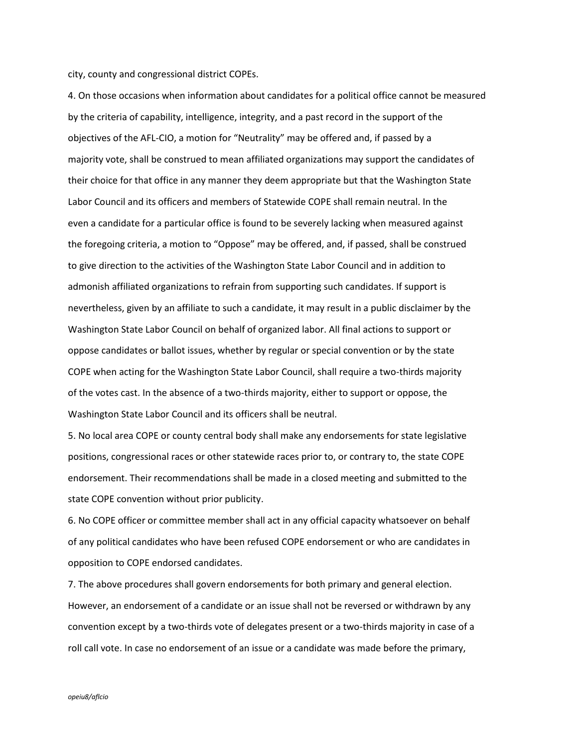city, county and congressional district COPEs.

4. On those occasions when information about candidates for a political office cannot be measured by the criteria of capability, intelligence, integrity, and a past record in the support of the objectives of the AFL-CIO, a motion for "Neutrality" may be offered and, if passed by a majority vote, shall be construed to mean affiliated organizations may support the candidates of their choice for that office in any manner they deem appropriate but that the Washington State Labor Council and its officers and members of Statewide COPE shall remain neutral. In the even a candidate for a particular office is found to be severely lacking when measured against the foregoing criteria, a motion to "Oppose" may be offered, and, if passed, shall be construed to give direction to the activities of the Washington State Labor Council and in addition to admonish affiliated organizations to refrain from supporting such candidates. If support is nevertheless, given by an affiliate to such a candidate, it may result in a public disclaimer by the Washington State Labor Council on behalf of organized labor. All final actions to support or oppose candidates or ballot issues, whether by regular or special convention or by the state COPE when acting for the Washington State Labor Council, shall require a two-thirds majority of the votes cast. In the absence of a two-thirds majority, either to support or oppose, the Washington State Labor Council and its officers shall be neutral.

5. No local area COPE or county central body shall make any endorsements for state legislative positions, congressional races or other statewide races prior to, or contrary to, the state COPE endorsement. Their recommendations shall be made in a closed meeting and submitted to the state COPE convention without prior publicity.

6. No COPE officer or committee member shall act in any official capacity whatsoever on behalf of any political candidates who have been refused COPE endorsement or who are candidates in opposition to COPE endorsed candidates.

7. The above procedures shall govern endorsements for both primary and general election. However, an endorsement of a candidate or an issue shall not be reversed or withdrawn by any convention except by a two-thirds vote of delegates present or a two-thirds majority in case of a roll call vote. In case no endorsement of an issue or a candidate was made before the primary,